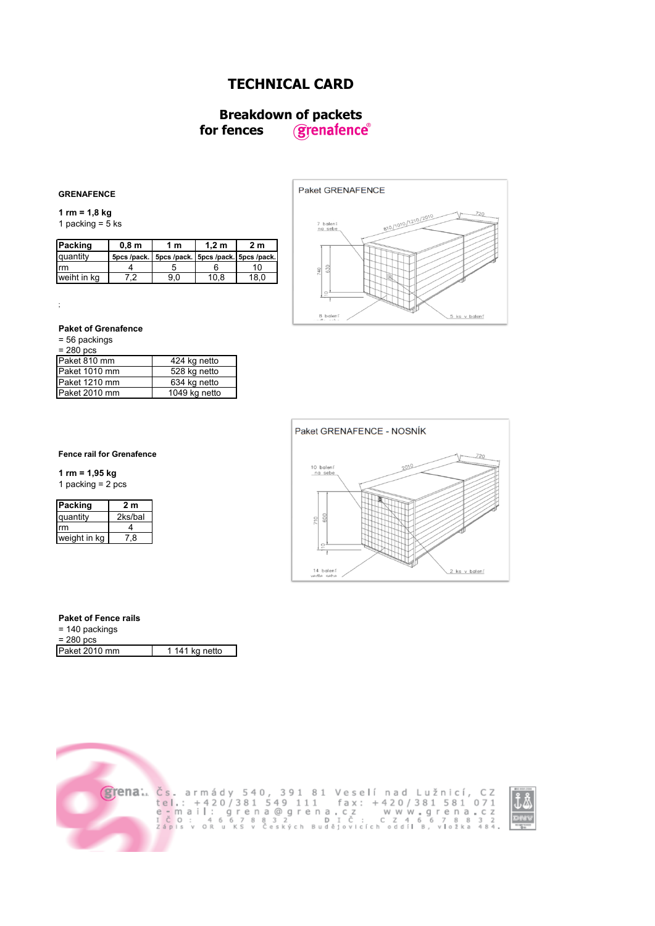# **TECHNICAL CARD**

## **Breakdown of packets<br>fences** *grenafence*  **for fences**

## **GRENAFENCE**

**1 rm = 1,8 kg**  1 packing =  $\frac{3}{5}$  ks

| Packing     | 0.8 <sub>m</sub> | 1 m                                                   | 1.2 <sub>m</sub> | 2 m  |
|-------------|------------------|-------------------------------------------------------|------------------|------|
| quantity    |                  | 5pcs /pack.   5pcs /pack.   5pcs /pack.   5pcs /pack. |                  |      |
| Irm         |                  |                                                       |                  |      |
| weiht in ka |                  | 9 O                                                   | 10.8             | 18.0 |



## **Paket of Grenafence**

= 56 packings

;

| 280 pcs |
|---------|
|---------|

| $200 \mu$     |               |
|---------------|---------------|
| Paket 810 mm  | 424 kg netto  |
| Paket 1010 mm | 528 kg netto  |
| Paket 1210 mm | 634 kg netto  |
| Paket 2010 mm | 1049 kg netto |
|               |               |



### **Fence rail for Grenafence**

**1 rm = 1,95 kg**

1 packing  $= 2$  pcs

| Packing      | 2 m     |
|--------------|---------|
| quantity     | 2ks/bal |
| rm           | Δ       |
| weight in kg | 78      |

## **Paket of Fence rails**

| $= 140$ packings |                |
|------------------|----------------|
| $= 280$ pcs      |                |
| Paket 2010 mm    | 1 141 kg netto |